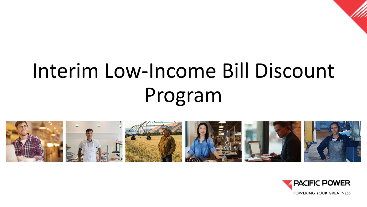

# Interim Low-Income Bill Discount Program



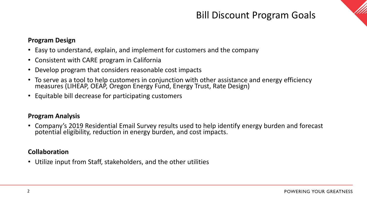## Bill Discount Program Goals



#### **Program Design**

- Easy to understand, explain, and implement for customers and the company
- Consistent with CARE program in California
- Develop program that considers reasonable cost impacts
- To serve as a tool to help customers in conjunction with other assistance and energy efficiency measures (LIHEAP, OEAP, Oregon Energy Fund, Energy Trust, Rate Design)
- Equitable bill decrease for participating customers

#### **Program Analysis**

• Company's 2019 Residential Email Survey results used to help identify energy burden and forecast potential eligibility, reduction in energy burden, and cost impacts.

#### **Collaboration**

• Utilize input from Staff, stakeholders, and the other utilities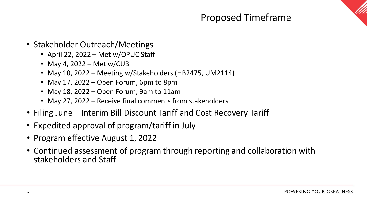### Proposed Timeframe

- Stakeholder Outreach/Meetings
	- April 22, 2022 Met w/OPUC Staff
	- May 4, 2022 Met w/CUB
	- May 10, 2022 Meeting w/Stakeholders (HB2475, UM2114)
	- May 17, 2022 Open Forum, 6pm to 8pm
	- May 18, 2022 Open Forum, 9am to 11am
	- May 27, 2022 Receive final comments from stakeholders
- Filing June Interim Bill Discount Tariff and Cost Recovery Tariff
- Expedited approval of program/tariff in July
- Program effective August 1, 2022
- Continued assessment of program through reporting and collaboration with stakeholders and Staff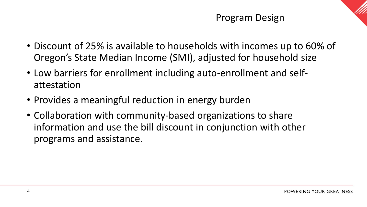- Discount of 25% is available to households with incomes up to 60% of Oregon's State Median Income (SMI), adjusted for household size
- Low barriers for enrollment including auto-enrollment and selfattestation
- Provides a meaningful reduction in energy burden
- Collaboration with community-based organizations to share information and use the bill discount in conjunction with other programs and assistance.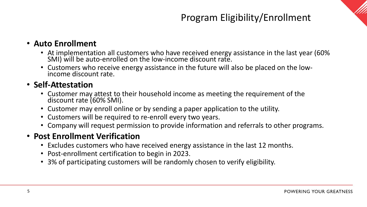## Program Eligibility/Enrollment



#### • **Auto Enrollment**

- At implementation all customers who have received energy assistance in the last year (60% SMI) will be auto-enrolled on the low-income discount rate.
- Customers who receive energy assistance in the future will also be placed on the low- income discount rate.

#### • **Self-Attestation**

- Customer may attest to their household income as meeting the requirement of the discount rate (60% SMI).
- Customer may enroll online or by sending a paper application to the utility.
- Customers will be required to re-enroll every two years.
- Company will request permission to provide information and referrals to other programs.

#### • **Post Enrollment Verification**

- Excludes customers who have received energy assistance in the last 12 months.
- Post-enrollment certification to begin in 2023.
- 3% of participating customers will be randomly chosen to verify eligibility.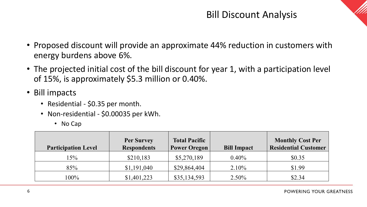#### Bill Discount Analysis



- Proposed discount will provide an approximate 44% reduction in customers with energy burdens above 6%.
- The projected initial cost of the bill discount for year 1, with a participation level of 15%, is approximately \$5.3 million or 0.40%.
- Bill impacts
	- Residential \$0.35 per month.
	- Non-residential \$0.00035 per kWh.
		- No Cap

| <b>Participation Level</b> | <b>Per Survey</b><br><b>Respondents</b> | <b>Total Pacific</b><br><b>Power Oregon</b> | <b>Bill Impact</b> | <b>Monthly Cost Per</b><br><b>Residential Customer</b> |
|----------------------------|-----------------------------------------|---------------------------------------------|--------------------|--------------------------------------------------------|
| 15%                        | \$210,183                               | \$5,270,189                                 | 0.40%              | \$0.35                                                 |
| 85%                        | \$1,191,040                             | \$29,864,404                                | 2.10%              | \$1.99                                                 |
| $100\%$                    | \$1,401,223                             | \$35,134,593                                | $2.50\%$           | \$2.34                                                 |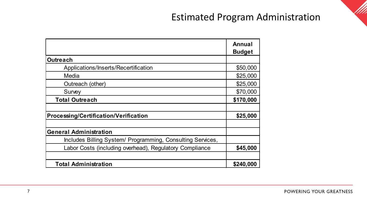#### Estimated Program Administration

|                                                            | Annual<br><b>Budget</b> |
|------------------------------------------------------------|-------------------------|
| <b>Outreach</b>                                            |                         |
| Applications/Inserts/Recertification                       | \$50,000                |
| Media                                                      | \$25,000                |
| Outreach (other)                                           | \$25,000                |
| Survey                                                     | \$70,000                |
| <b>Total Outreach</b>                                      | \$170,000               |
|                                                            |                         |
| <b>Processing/Certification/Verification</b>               | \$25,000                |
|                                                            |                         |
| <b>General Administration</b>                              |                         |
| Includes Billing System/ Programming, Consulting Services, |                         |
| Labor Costs (including overhead), Regulatory Compliance    | \$45,000                |
|                                                            |                         |
| <b>Total Administration</b>                                | \$240,000               |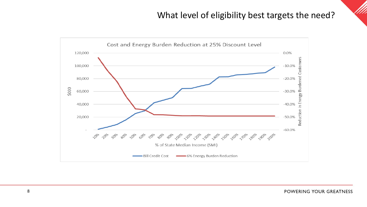#### What level of eligibility best targets the need?



POWERING YOUR GREATNESS

111.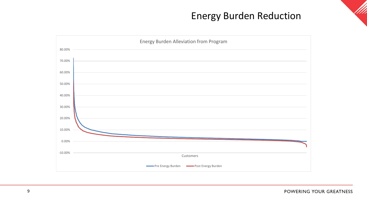#### Energy Burden Reduction



111.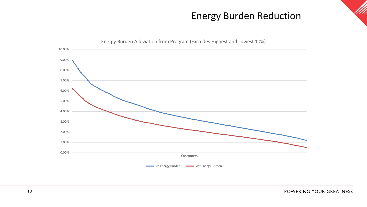#### Energy Burden Reduction



111.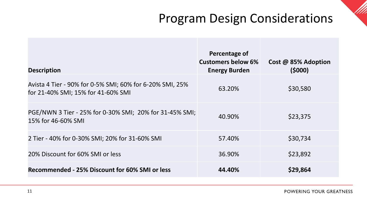## Program Design Considerations

| <b>Description</b>                                                                             | Percentage of<br><b>Customers below 6%</b><br><b>Energy Burden</b> | Cost @ 85% Adoption<br>(5000) |
|------------------------------------------------------------------------------------------------|--------------------------------------------------------------------|-------------------------------|
| Avista 4 Tier - 90% for 0-5% SMI; 60% for 6-20% SMI, 25%<br>for 21-40% SMI; 15% for 41-60% SMI | 63.20%                                                             | \$30,580                      |
| PGE/NWN 3 Tier - 25% for 0-30% SMI; 20% for 31-45% SMI;<br>15% for 46-60% SMI                  | 40.90%                                                             | \$23,375                      |
| 2 Tier - 40% for 0-30% SMI; 20% for 31-60% SMI                                                 | 57.40%                                                             | \$30,734                      |
| 20% Discount for 60% SMI or less                                                               | 36.90%                                                             | \$23,892                      |
| Recommended - 25% Discount for 60% SMI or less                                                 | 44.40%                                                             | \$29,864                      |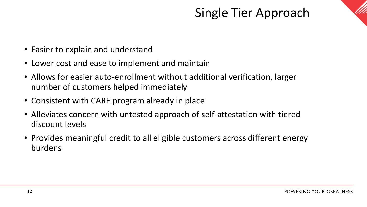# Single Tier Approach



- Easier to explain and understand
- Lower cost and ease to implement and maintain
- Allows for easier auto-enrollment without additional verification, larger number of customers helped immediately
- Consistent with CARE program already in place
- Alleviates concern with untested approach of self-attestation with tiered discount levels
- Provides meaningful credit to all eligible customers across different energy burdens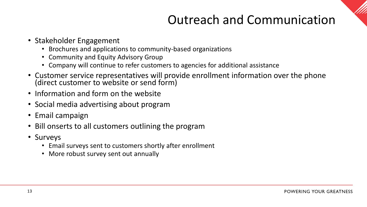# Outreach and Communication

- Stakeholder Engagement
	- Brochures and applications to community-based organizations
	- Community and Equity Advisory Group
	- Company will continue to refer customers to agencies for additional assistance
- Customer service representatives will provide enrollment information over the phone (direct customer to website or send form)
- Information and form on the website
- Social media advertising about program
- Email campaign
- Bill onserts to all customers outlining the program
- Surveys
	- Email surveys sent to customers shortly after enrollment
	- More robust survey sent out annually